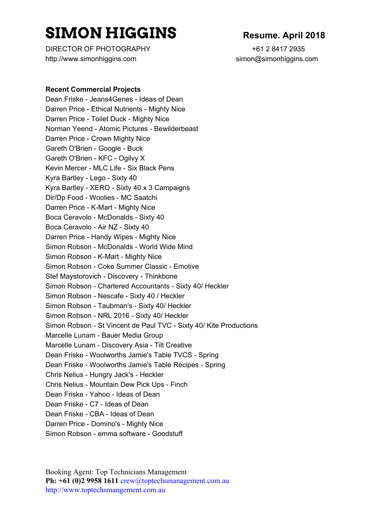# **SIMON HIGGINS Resume. April <sup>2018</sup>**

DIRECTOR OF PHOTOGRAPHY +61 2 8417 2935 http://www.simonhiggins.com simon@simonhiggins.com

#### **Recent Commercial Projects**

Dean Friske - Jeans4Genes - Ideas of Dean Darren Price - Ethical Nutrients - Mighty Nice Darren Price - Toilet Duck - Mighty Nice Norman Yeend - Atomic Pictures - Bewilderbeast Darren Price - Crown Mighty Nice Gareth O'Brien - Google - Buck Gareth O'Brien - KFC - Ogilvy X Kevin Mercer - MLC Life - Six Black Pens Kyra Bartley - Lego - Sixty 40 Kyra Bartley - XERO - Sixty 40 x 3 Campaigns Dir/Dp Food - Woolies - MC Saatchi Darren Price - K-Mart - Mighty Nice Boca Ceravolo - McDonalds - Sixty 40 Boca Ceravolo - Air NZ - Sixty 40 Darren Price - Handy Wipes - Mighty Nice Simon Robson - McDonalds - World Wide Mind Simon Robson - K-Mart - Mighty Nice Simon Robson - Coke Summer Classic - Emotive Stef Maystorovich - Discovery - Thinkbone Simon Robson - Chartered Accountants - Sixty 40/ Heckler Simon Robson - Nescafe - Sixty 40 / Heckler Simon Robson - Taubman's - Sixty 40/ Heckler Simon Robson - NRL 2016 - Sixty 40/ Heckler Simon Robson - St Vincent de Paul TVC - Sixty 40/ Kite Productions Marcelle Lunam - Bauer Media Group Marcelle Lunam - Discovery Asia - Tilt Creative Dean Friske - Woolworths Jamie's Table TVCS - Spring Dean Friske - Woolworths Jamie's Table Recipes - Spring Chris Nelius - Hungry Jack's - Heckler Chris Nelius - Mountain Dew Pick Ups - Finch Dean Friske - Yahoo - Ideas of Dean Dean Friske - C7 - Ideas of Dean Dean Friske - CBA - Ideas of Dean Darren Price - Domino's - Mighty Nice Simon Robson - emma software - Goodstuff

Booking Agent: Top Technicians Management **Ph: +61 (0)2 9958 1611** crew@toptechsmanagement.com.au http://www.toptechsmangement.com.au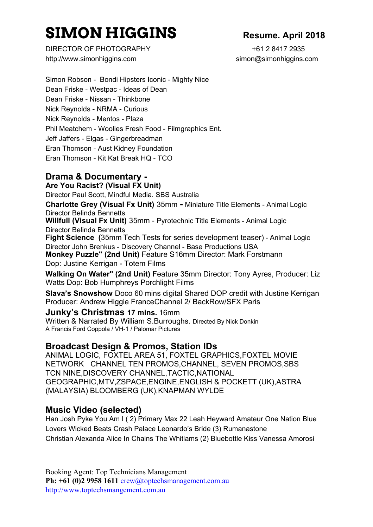# **SIMON HIGGINS Resume. April <sup>2018</sup>**

DIRECTOR OF PHOTOGRAPHY +61 2 8417 2935 http://www.simonhiggins.com simon@simonhiggins.com

Simon Robson - Bondi Hipsters Iconic - Mighty Nice Dean Friske - Westpac - Ideas of Dean Dean Friske - Nissan - Thinkbone Nick Reynolds - NRMA - Curious Nick Reynolds - Mentos - Plaza Phil Meatchem - Woolies Fresh Food - Filmgraphics Ent. Jeff Jaffers - Elgas - Gingerbreadman Eran Thomson - Aust Kidney Foundation Eran Thomson - Kit Kat Break HQ - TCO

# **Drama & Documentary -**

**Are You Racist? (Visual FX Unit)** Director Paul Scott, Mindful Media. SBS Australia

**Charlotte Grey (Visual Fx Unit)** 35mm **-** Miniature Title Elements - Animal Logic Director Belinda Bennetts

**Willfull (Visual Fx Unit)** 35mm - Pyrotechnic Title Elements - Animal Logic Director Belinda Bennetts

**Fight Science (**35mm Tech Tests for series development teaser) - Animal Logic Director John Brenkus - Discovery Channel - Base Productions USA

**Monkey Puzzle" (2nd Unit)** Feature S16mm Director: Mark Forstmann Dop: Justine Kerrigan - Totem Films

**Walking On Water" (2nd Unit)** Feature 35mm Director: Tony Ayres, Producer: Liz Watts Dop: Bob Humphreys Porchlight Films

**Slava's Snowshow** Doco 60 mins digital Shared DOP credit with Justine Kerrigan Producer: Andrew Higgie FranceChannel 2/ BackRow/SFX Paris

**Junky's Christmas 17 mins.** 16mm

Written & Narrated By William S.Burroughs. Directed By Nick Donkin A Francis Ford Coppola / VH-1 / Palomar Pictures

# **Broadcast Design & Promos, Station IDs**

ANIMAL LOGIC, FOXTEL AREA 51, FOXTEL GRAPHICS,FOXTEL MOVIE NETWORK CHANNEL TEN PROMOS,CHANNEL, SEVEN PROMOS,SBS TCN NINE,DISCOVERY CHANNEL,TACTIC,NATIONAL GEOGRAPHIC,MTV,ZSPACE,ENGINE,ENGLISH & POCKETT (UK),ASTRA (MALAYSIA) BLOOMBERG (UK),KNAPMAN WYLDE

# **Music Video (selected)**

Han Josh Pyke You Am I ( 2) Primary Max 22 Leah Heyward Amateur One Nation Blue Lovers Wicked Beats Crash Palace Leonardo's Bride (3) Rumanastone Christian Alexanda Alice In Chains The Whitlams (2) Bluebottle Kiss Vanessa Amorosi

Booking Agent: Top Technicians Management **Ph: +61 (0)2 9958 1611** crew@toptechsmanagement.com.au http://www.toptechsmangement.com.au